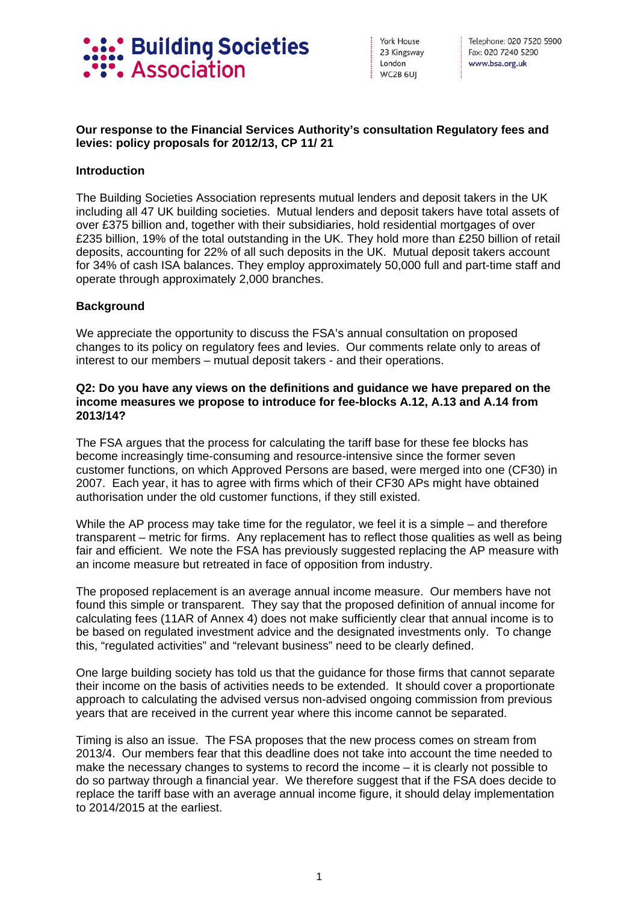

York House 23 Kingsway London WC2B 6UI

Telephone: 020 7520 5900 Fax: 020 7240 5290 www.bsa.org.uk

## **Our response to the Financial Services Authority's consultation Regulatory fees and levies: policy proposals for 2012/13, CP 11/ 21**

#### **Introduction**

The Building Societies Association represents mutual lenders and deposit takers in the UK including all 47 UK building societies. Mutual lenders and deposit takers have total assets of over £375 billion and, together with their subsidiaries, hold residential mortgages of over £235 billion, 19% of the total outstanding in the UK. They hold more than £250 billion of retail deposits, accounting for 22% of all such deposits in the UK. Mutual deposit takers account for 34% of cash ISA balances. They employ approximately 50,000 full and part-time staff and operate through approximately 2,000 branches.

#### **Background**

We appreciate the opportunity to discuss the FSA's annual consultation on proposed changes to its policy on regulatory fees and levies. Our comments relate only to areas of interest to our members – mutual deposit takers - and their operations.

#### **Q2: Do you have any views on the definitions and guidance we have prepared on the income measures we propose to introduce for fee-blocks A.12, A.13 and A.14 from 2013/14?**

The FSA argues that the process for calculating the tariff base for these fee blocks has become increasingly time-consuming and resource-intensive since the former seven customer functions, on which Approved Persons are based, were merged into one (CF30) in 2007. Each year, it has to agree with firms which of their CF30 APs might have obtained authorisation under the old customer functions, if they still existed.

While the AP process may take time for the regulator, we feel it is a simple – and therefore transparent – metric for firms. Any replacement has to reflect those qualities as well as being fair and efficient. We note the FSA has previously suggested replacing the AP measure with an income measure but retreated in face of opposition from industry.

The proposed replacement is an average annual income measure. Our members have not found this simple or transparent. They say that the proposed definition of annual income for calculating fees (11AR of Annex 4) does not make sufficiently clear that annual income is to be based on regulated investment advice and the designated investments only. To change this, "regulated activities" and "relevant business" need to be clearly defined.

One large building society has told us that the guidance for those firms that cannot separate their income on the basis of activities needs to be extended. It should cover a proportionate approach to calculating the advised versus non-advised ongoing commission from previous years that are received in the current year where this income cannot be separated.

Timing is also an issue. The FSA proposes that the new process comes on stream from 2013/4. Our members fear that this deadline does not take into account the time needed to make the necessary changes to systems to record the income – it is clearly not possible to do so partway through a financial year. We therefore suggest that if the FSA does decide to replace the tariff base with an average annual income figure, it should delay implementation to 2014/2015 at the earliest.